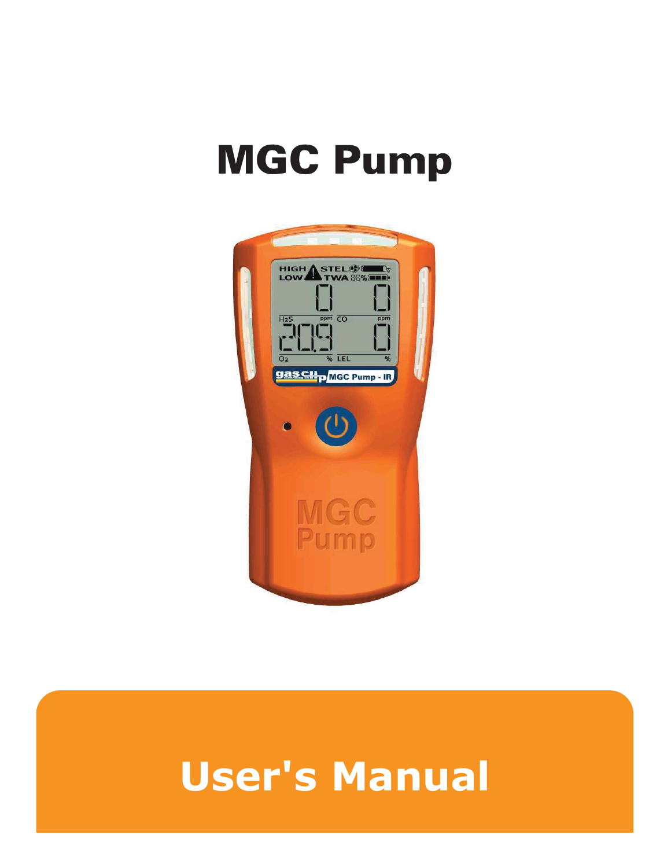# **MGC Pump**



# User's Manual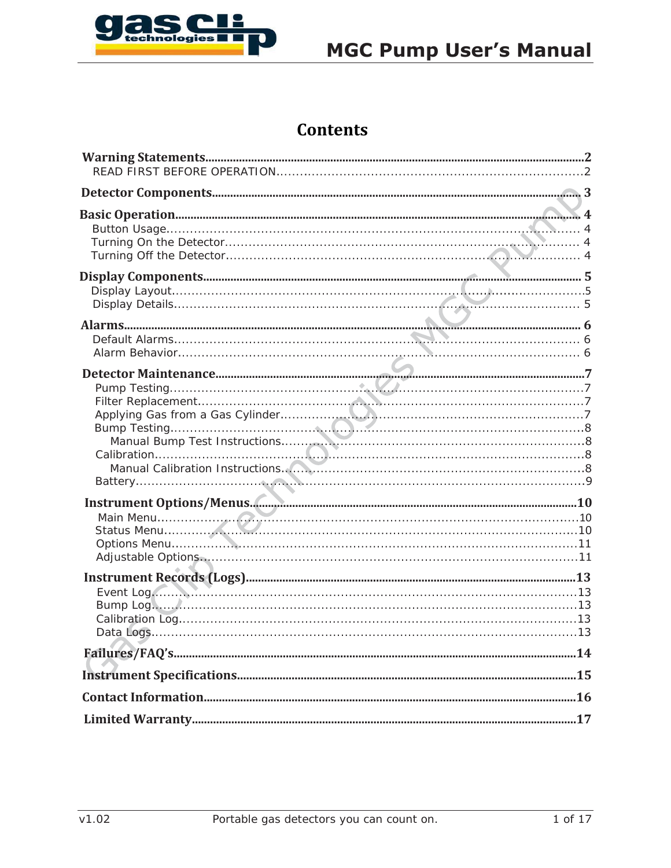

# **MGC Pump User's Manual**

# **Contents**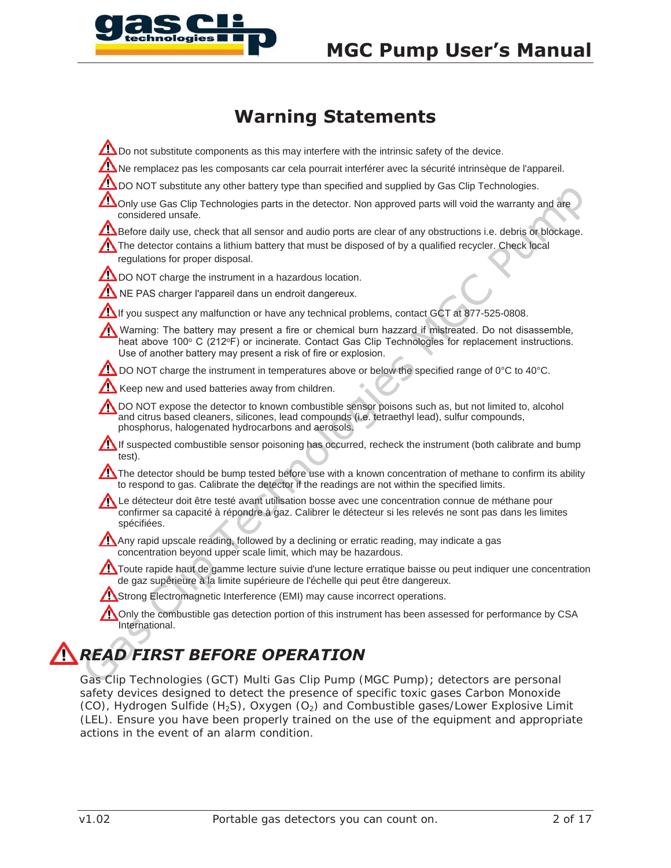

# **MGC Pump User's Manual**

# **Warning Statements**

Do not substitute components as this may interfere with the intrinsic safety of the device. Ne remplacez pas les composants car cela pourrait interférer avec la sécurité intrinsèque de l'appareil. **DO NOT** substitute any other battery type than specified and supplied by Gas Clip Technologies. Only use Gas Clip Technologies parts in the detector. Non approved parts will void the warranty and are considered unsafe. Before daily use, check that all sensor and audio ports are clear of any obstructions i.e. debris or blockage. The detector contains a lithium battery that must be disposed of by a qualified recycler. Check local regulations for proper disposal **DO NOT** charge the instrument in a hazardous location. If you suspect any malfunction or have any technical problems, contact GCT at 877-525-0808. Warning: The battery may present a fire or chemical burn hazzard if mistreated. Do not disassemble, heat above 100° C (212°F) or incinerate. Contact Gas Clip Technologies for replacement instructions. Use of another battery may present a risk of fire or explosion.  $\Lambda$  DO NOT charge the instrument in temperatures above or below the specified range of 0°C to 40°C.  $\sum$  Keep new and used batteries away from children. DO NOT expose the detector to known combustible sensor poisons such as, but not limited to, alcohol and citrus based cleaners, silicones, lead compounds (i.e. tetraethyl lead), sulfur compounds, phosphorus, halogenated hydrocarbons and aerosols If suspected combustible sensor poisoning has occurred, recheck the instrument (both calibrate and bump) test). The detector should be bump tested before use with a known concentration of methane to confirm its ability to respond to gas. Calibrate the detector if the readings are not within the specified limits. Le détecteur doit être testé avant utilisation bosse avec une concentration connue de méthane pour confirmer sa capacité à répondre à gaz. Calibrer le détecteur si les relevés ne sont pas dans les limites spécifiées. Any rapid upscale reading, followed by a declining or erratic reading, may indicate a gas concentration beyond upper scale limit, which may be hazardous. Toute rapide haut de gamme lecture suivie d'une lecture erratique baisse ou peut indiquer une concentration de gaz supérieure à la limite supérieure de l'échelle qui peut être dangereux. Strong Electromagnetic Interference (EMI) may cause incorrect operations. Only the combustible gas detection portion of this instrument has been assessed for performance by CSA International. *READ FIRST BEFORE OPERATION* NE PAS charger l'appareil dans un endroit dangereux.

Gas Clip Technologies (GCT) Multi Gas Clip Pump (MGC Pump); detectors are personal safety devices designed to detect the presence of specific toxic gases Carbon Monoxide  $(CO)$ , Hydrogen Sulfide  $(H_2S)$ , Oxygen  $(O_2)$  and Combustible gases/Lower Explosive Limit (LEL). Ensure you have been properly trained on the use of the equipment and appropriate actions in the event of an alarm condition.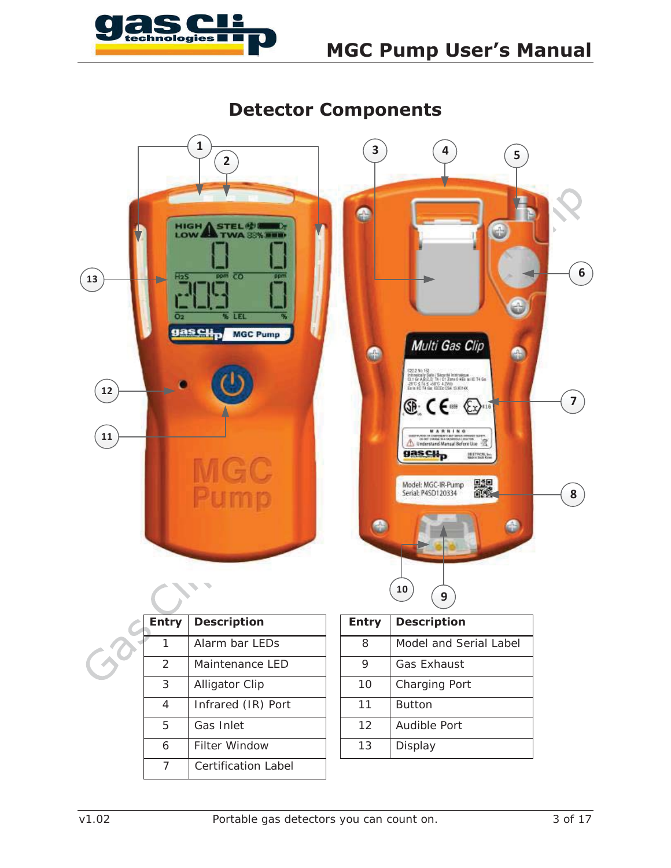

# **MGC Pump User's Manual**

**Detector Components 1 3 5 4 2** ę **HIGH STEL 砂I** Ð TWA 89 **LOW 6**  $\overline{co}$ **13** Hz **LEL** gas ell<sub>p</sub> MGC Pump Multi Gas Clip  $\bullet$  $\bullet$  $\begin{array}{l} \texttt{C22.2 No:}~\texttt{NS}\\ \texttt{Inthematrixing:}~\texttt{D4}~\texttt{Unin}~\texttt{The}~\texttt{Inthematrixing:}\\ 0.14~\texttt{G}~\texttt{A},\texttt{B},\texttt{C},\texttt{D},~\texttt{D}~\texttt{I}~\texttt{C}~\texttt{I}~\texttt{The}~\texttt{B}~\texttt{B}~\texttt{B}~\texttt{B}~\texttt{B}~\texttt{B}~\texttt{B}~\texttt{B}~\texttt{B}~\texttt{B}~\texttt{B}~$  $(12)$ **7**  $\circledast$  CE of  $\circledast$ **11** Understand Manual Before Use gas Cilp **BEFRONT** Model: MGC-IR-Pump<br>Serial: P4SD120334 ■ **8** e  $\bullet$ **<sup>10</sup> <sup>9</sup>**

| <b>Entry</b>  | <b>Description</b>         | <b>Entry</b> | <b>Description</b>   |
|---------------|----------------------------|--------------|----------------------|
|               | Alarm bar LEDs             | 8            | Model and Ser        |
| $\mathcal{P}$ | Maintenance LED            | 9            | <b>Gas Exhaust</b>   |
| 3             | <b>Alligator Clip</b>      | 10           | <b>Charging Port</b> |
| 4             | Infrared (IR) Port         | 11           | <b>Button</b>        |
| 5             | Gas Inlet                  | 12           | Audible Port         |
| 6             | <b>Filter Window</b>       | 13           | Display              |
|               | <b>Certification Label</b> |              |                      |
|               |                            |              |                      |

| ıtry           | <b>Description</b>    |  | <b>Entry</b> | <b>Description</b>     |
|----------------|-----------------------|--|--------------|------------------------|
| 1              | Alarm bar LEDs        |  | 8            | Model and Serial Label |
| $\overline{2}$ | Maintenance LED       |  | 9            | <b>Gas Exhaust</b>     |
| 3              | <b>Alligator Clip</b> |  | 10           | <b>Charging Port</b>   |
| 4              | Infrared (IR) Port    |  | 11           | <b>Button</b>          |
| 5              | Gas Inlet             |  | 12           | Audible Port           |
| 6              | <b>Filter Window</b>  |  | 13           | Display                |
|                |                       |  |              |                        |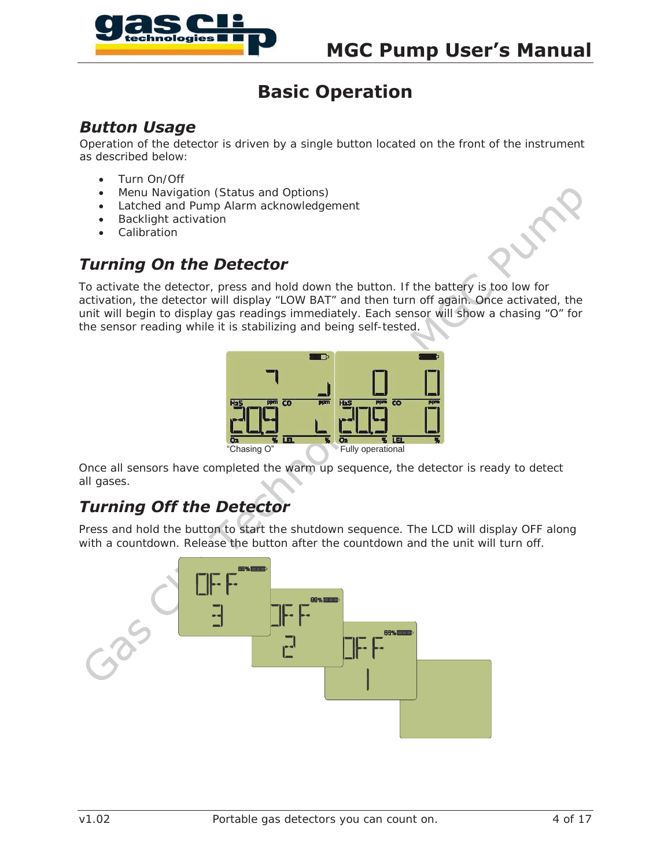

# **Basic Operation**

#### *Button Usage*

Operation of the detector is driven by a single button located on the front of the instrument as described below:

- Turn On/Off
- Menu Navigation (Status and Options)
- Latched and Pump Alarm acknowledgement
- **•** Backlight activation
- Calibration

# *Turning On the Detector*

To activate the detector, press and hold down the button. If the battery is too low for activation, the detector will display "LOW BAT" and then turn off again. Once activated, the unit will begin to display gas readings immediately. Each sensor will show a chasing "O" for the sensor reading while it is stabilizing and being self-tested



Once all sensors have completed the warm up sequence, the detector is ready to detect all gases.

# *Turning Off the Detector*

Press and hold the button to start the shutdown sequence. The LCD will display OFF along with a countdown. Release the button after the countdown and the unit will turn off.

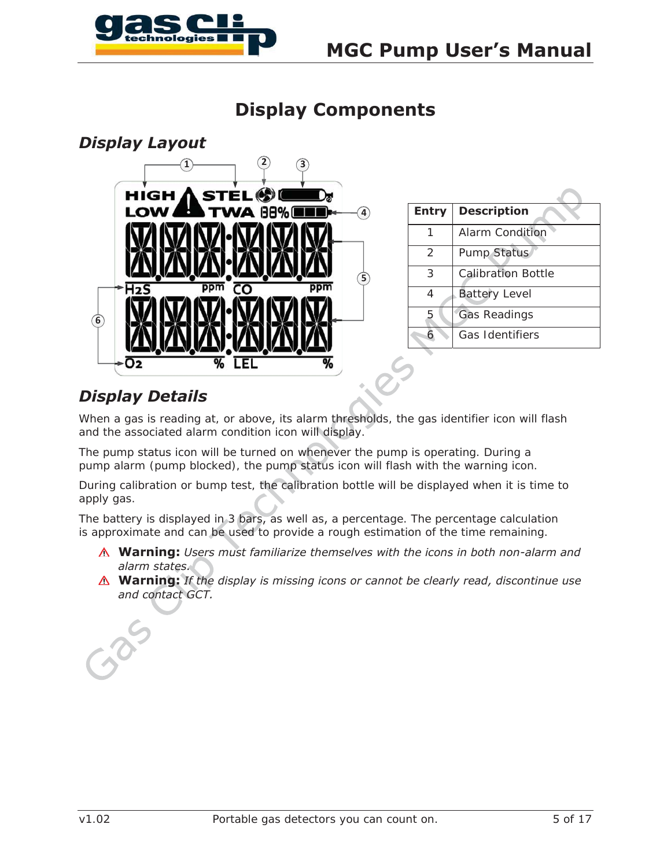

# **Display Components**



| <b>Entry</b>  | <b>Description</b>        |
|---------------|---------------------------|
|               | Alarm Condition           |
| $\mathcal{P}$ | <b>Pump Status</b>        |
| 3             | <b>Calibration Bottle</b> |
| 4             | <b>Battery Level</b>      |
| 5             | <b>Gas Readings</b>       |
|               | Gas Identifiers           |

# *Display Details*

When a gas is reading at, or above, its alarm thresholds, the gas identifier icon will flash and the associated alarm condition icon will display.

The pump status icon will be turned on whenever the pump is operating. During a pump alarm (pump blocked), the pump status icon will flash with the warning icon.

During calibration or bump test, the calibration bottle will be displayed when it is time to apply gas.

The battery is displayed in 3 bars, as well as, a percentage. The percentage calculation is approximate and can be used to provide a rough estimation of the time remaining.

- **Warning:** *Users must familiarize themselves with the icons in both non-alarm and alarm states.*
- **Warning:** *If the display is missing icons or cannot be clearly read, discontinue use and contact GCT.*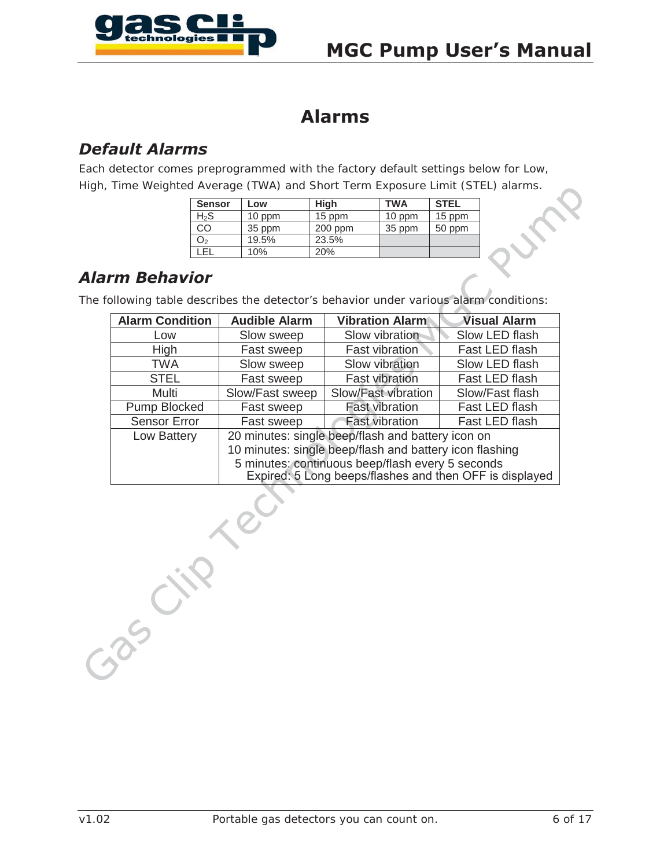

 $\mathcal{L}$ 

# **Alarms**

# *Default Alarms*

Each detector comes preprogrammed with the factory default settings below for Low, High, Time Weighted Average (TWA) and Short Term Exposure Limit (STEL) alarms

| Sensor           | Low    | <b>High</b> | <b>TWA</b> | <b>STEL</b> |
|------------------|--------|-------------|------------|-------------|
| H <sub>2</sub> S | 10 ppm | 15 ppm      | 10 ppm     | 15 ppm      |
| CO               | 35 ppm | $200$ ppm   | 35 ppm     | 50 ppm      |
| O <sub>2</sub>   | 19.5%  | 23.5%       |            |             |
| FI.              | 10%    | 20%         |            |             |

# *Alarm Behavior*

The following table describes the detector's behavior under various alarm conditions:

| <b>Alarm Condition</b> | <b>Audible Alarm</b>                                                                                        | <b>Vibration Alarm</b> | <b>Visual Alarm</b> |
|------------------------|-------------------------------------------------------------------------------------------------------------|------------------------|---------------------|
| Low                    | Slow sweep                                                                                                  | Slow vibration         | Slow LED flash      |
| High                   | Fast sweep                                                                                                  | Fast vibration         | Fast LED flash      |
| <b>TWA</b>             | Slow sweep                                                                                                  | Slow vibration         | Slow LED flash      |
| <b>STEL</b>            | Fast sweep                                                                                                  | <b>Fast vibration</b>  | Fast LED flash      |
| Multi                  | Slow/Fast sweep                                                                                             | Slow/Fast vibration    | Slow/Fast flash     |
| Pump Blocked           | Fast sweep                                                                                                  | <b>Fast vibration</b>  | Fast LED flash      |
| <b>Sensor Error</b>    | Fast sweep                                                                                                  | <b>Fast vibration</b>  | Fast LED flash      |
| Low Battery            | 20 minutes: single beep/flash and battery icon on                                                           |                        |                     |
|                        | 10 minutes: single beep/flash and battery icon flashing                                                     |                        |                     |
|                        | 5 minutes: continuous beep/flash every 5 seconds<br>Expired: 5 Long beeps/flashes and then OFF is displayed |                        |                     |

(July 10)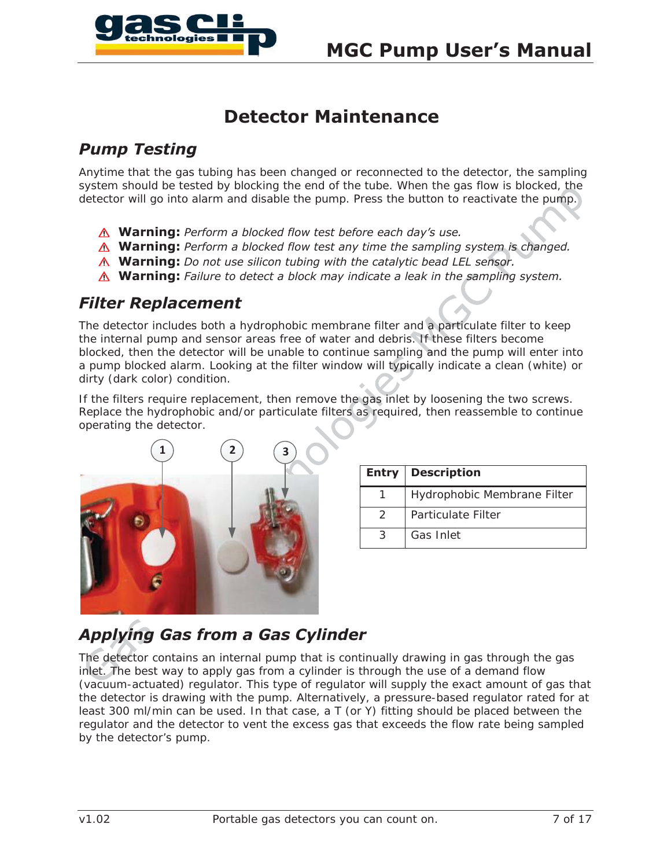

# **Detector Maintenance**

# *Pump Testing*

Anytime that the gas tubing has been changed or reconnected to the detector, the sampling system should be tested by blocking the end of the tube. When the gas flow is blocked, the detector will go into alarm and disable the pump. Press the button to reactivate the pump.

- **Warning:** *Perform a blocked flow test before each day's use*
- **Warning:** *Perform a blocked flow test any time the sampling system is changed*
- **Warning:** *Do not use silicon tubing with the catalytic bead LEL sensor.*
- **Warning:** *Failure to detect a block may indicate a leak in the sampling system*

### *Filter Replacement*

The detector includes both a hydrophobic membrane filter and a particulate filter to keep the internal pump and sensor areas free of water and debris. If these filters become blocked, then the detector will be unable to continue sampling and the pump will enter into a pump blocked alarm. Looking at the filter window will typically indicate a clean (white) or dirty (dark color) condition.

If the filters require replacement, then remove the gas inlet by loosening the two screws. Replace the hydrophobic and/or particulate filters as required, then reassemble to continue operating the detector.



| Entry | <b>Description</b>          |
|-------|-----------------------------|
|       | Hydrophobic Membrane Filter |
|       | Particulate Filter          |
| 3     | Gas Inlet                   |

# *Applying Gas from a Gas Cylinder*

The detector contains an internal pump that is continually drawing in gas through the gas inlet. The best way to apply gas from a cylinder is through the use of a demand flow (vacuum-actuated) regulator. This type of regulator will supply the exact amount of gas that the detector is drawing with the pump. Alternatively, a pressure-based regulator rated for at least 300 ml/min can be used. In that case, a  $T$  (or Y) fitting should be placed between the regulator and the detector to vent the excess gas that exceeds the flow rate being sampled by the detector's pump.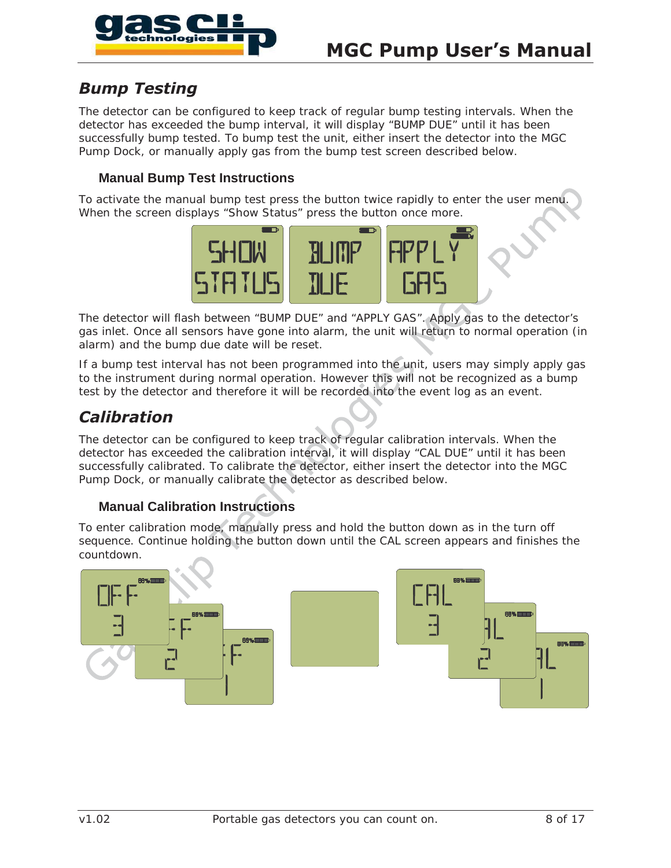

### *Bump Testing*

The detector can be configured to keep track of regular bump testing intervals. When the detector has exceeded the bump interval, it will display "BUMP DUE" until it has been successfully bump tested. To bump test the unit, either insert the detector into the MGC Pump Dock, or manually apply gas from the bump test screen described below.

#### **Manual Bump Test Instructions**

To activate the manual bump test press the button twice rapidly to enter the user menu. When the screen displays "Show Status" press the button once more.



The detector will flash between "BUMP DUE" and "APPLY GAS". Apply gas to the detector's gas inlet. Once all sensors have gone into alarm, the unit will return to normal operation (in alarm) and the bump due date will be reset.

If a bump test interval has not been programmed into the unit, users may simply apply gas to the instrument during normal operation. However this will not be recognized as a bump test by the detector and therefore it will be recorded into the event log as an event.

#### *Calibration*

The detector can be configured to keep track of regular calibration intervals. When the detector has exceeded the calibration interval, it will display "CAL DUE" until it has been successfully calibrated. To calibrate the detector, either insert the detector into the MGC Pump Dock, or manually calibrate the detector as described below.

#### **Manual Calibration Instructions**

To enter calibration mode, manually press and hold the button down as in the turn off sequence. Continue holding the button down until the CAL screen appears and finishes the countdown.

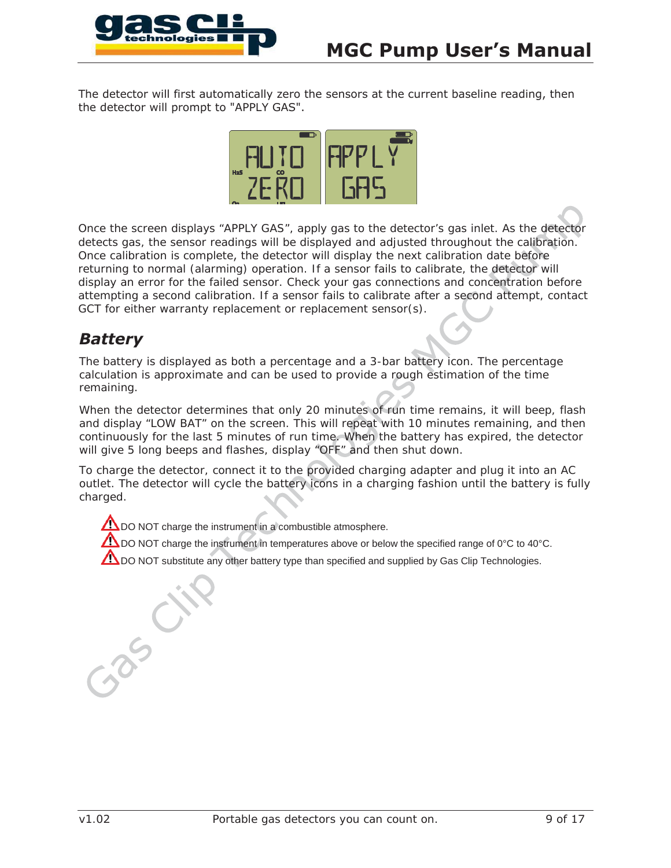

The detector will first automatically zero the sensors at the current baseline reading, then the detector will prompt to "APPLY GAS".



Once the screen displays "APPLY GAS", apply gas to the detector's gas inlet. As the detector detects gas, the sensor readings will be displayed and adjusted throughout the calibration. Once calibration is complete, the detector will display the next calibration date before returning to normal (alarming) operation. If a sensor fails to calibrate, the detector will display an error for the failed sensor. Check your gas connections and concentration before attempting a second calibration. If a sensor fails to calibrate after a second attempt, contact GCT for either warranty replacement or replacement sensor(s).

# *Battery*

The battery is displayed as both a percentage and a 3-bar battery icon. The percentage calculation is approximate and can be used to provide a rough estimation of the time remaining.

When the detector determines that only 20 minutes of run time remains, it will beep, flash and display "LOW BAT" on the screen. This will repeat with 10 minutes remaining, and then continuously for the last 5 minutes of run time. When the battery has expired, the detector will give 5 long beeps and flashes, display "OFF" and then shut down.

To charge the detector, connect it to the provided charging adapter and plug it into an AC outlet. The detector will cycle the battery icons in a charging fashion until the battery is fully charged.

**TO** DO NOT charge the instrument in a combustible atmosphere.

DO NOT charge the instrument in temperatures above or below the specified range of 0°C to 40°C.

**ADO NOT** substitute any other battery type than specified and supplied by Gas Clip Technologies.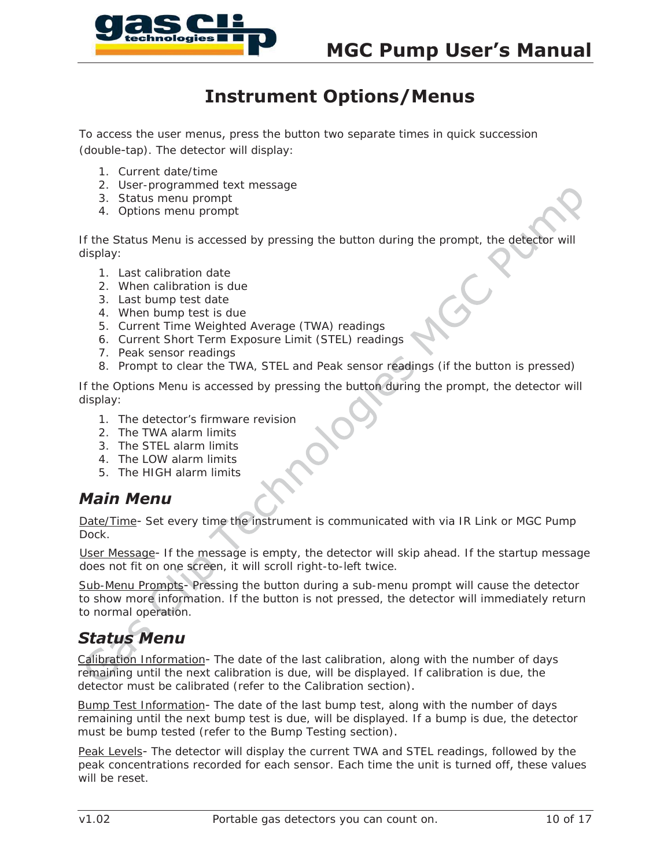

# **Instrument Options/Menus**

To access the user menus, press the button two separate times in quick succession (double-tap). The detector will display:

- 1. Current date/time
- 2. User-programmed text message
- 3. Status menu prompt
- 4. Options menu prompt

If the Status Menu is accessed by pressing the button during the prompt, the detector will display:

- 1. Last calibration date
- 2. When calibration is due
- 3. Last bump test date
- 4. When bump test is due
- 5. Current Time Weighted Average (TWA) readings
- 6. Current Short Term Exposure Limit (STEL) readings
- 7. Peak sensor readings
- 8. Prompt to clear the TWA, STEL and Peak sensor readings (if the button is pressed)

If the Options Menu is accessed by pressing the button during the prompt, the detector will display:

- 1. The detector's firmware revision
- 2. The TWA alarm limits
- 3. The STEL alarm limits
- 4. The LOW alarm limits
- 5. The HIGH alarm limits

#### *Main Menu*

Date/Time- Set every time the instrument is communicated with via IR Link or MGC Pump Dock.

User Message- If the message is empty, the detector will skip ahead. If the startup message does not fit on one screen, it will scroll right-to-left twice.

Sub-Menu Prompts- Pressing the button during a sub-menu prompt will cause the detector to show more information. If the button is not pressed, the detector will immediately return to normal operation.

# *Status Menu*

Calibration Information- The date of the last calibration, along with the number of days remaining until the next calibration is due, will be displayed. If calibration is due, the detector must be calibrated (refer to the Calibration section).

Bump Test Information- The date of the last bump test, along with the number of days remaining until the next bump test is due, will be displayed. If a bump is due, the detector must be bump tested (refer to the Bump Testing section)

Peak Levels- The detector will display the current TWA and STEL readings, followed by the peak concentrations recorded for each sensor. Each time the unit is turned off, these values will be reset.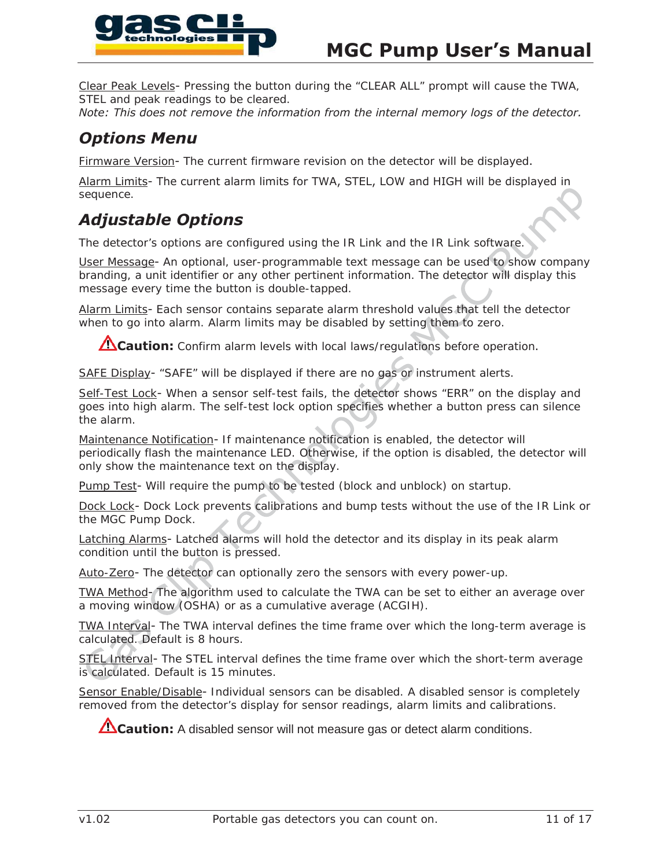

Clear Peak Levels- Pressing the button during the "CLEAR ALL" prompt will cause the TWA, STEL and peak readings to be cleared.

*Note: 7his does not remove the information from the internal memory logs of the detector.*

### *Options Menu*

Firmware Version- The current firmware revision on the detector will be displayed.

Alarm Limits- The current alarm limits for TWA, STEL, LOW and HIGH will be displayed in sequence.

# *Adjustable Options*

The detector's options are configured using the IR Link and the IR Link software.

User Message An optional, user-programmable text message can be used to show company branding, a unit identifier or any other pertinent information. The detector will display this message every time the button is double-tapped.

Alarm Limits- Each sensor contains separate alarm threshold values that tell the detector when to go into alarm. Alarm limits may be disabled by setting them to zero.

**Caution:** Confirm alarm levels with local laws/regulations before operation.

SAFE Display- "SAFE" will be displayed if there are no gas or instrument alerts.

Self-Test Lock- When a sensor self-test fails, the detector shows "ERR" on the display and goes into high alarm. The self-test lock option specifies whether a button press can silence the alarm.

Maintenance Notification- If maintenance notification is enabled, the detector will periodically flash the maintenance LED. Otherwise, if the option is disabled, the detector will only show the maintenance text on the display.

Pump Test- Will require the pump to be tested (block and unblock) on startup.

Dock Lock- Dock Lock prevents calibrations and bump tests without the use of the IR Link or the MGC Pump Dock.

Latching Alarms- Latched alarms will hold the detector and its display in its peak alarm condition until the button is pressed.

Auto-Zero- The detector can optionally zero the sensors with every power-up.

TWA Method- The algorithm used to calculate the TWA can be set to either an average over a moving window (OSHA) or as a cumulative average (ACGIH).

TWA Interval- The TWA interval defines the time frame over which the long-term average is calculated. Default is 8 hours.

STEL Interval- The STEL interval defines the time frame over which the short-term average is calculated. Default is 15 minutes.

Sensor Enable/Disable- Individual sensors can be disabled. A disabled sensor is completely removed from the detector's display for sensor readings, alarm limits and calibrations.

**Caution:** A disabled sensor will not measure gas or detect alarm conditions.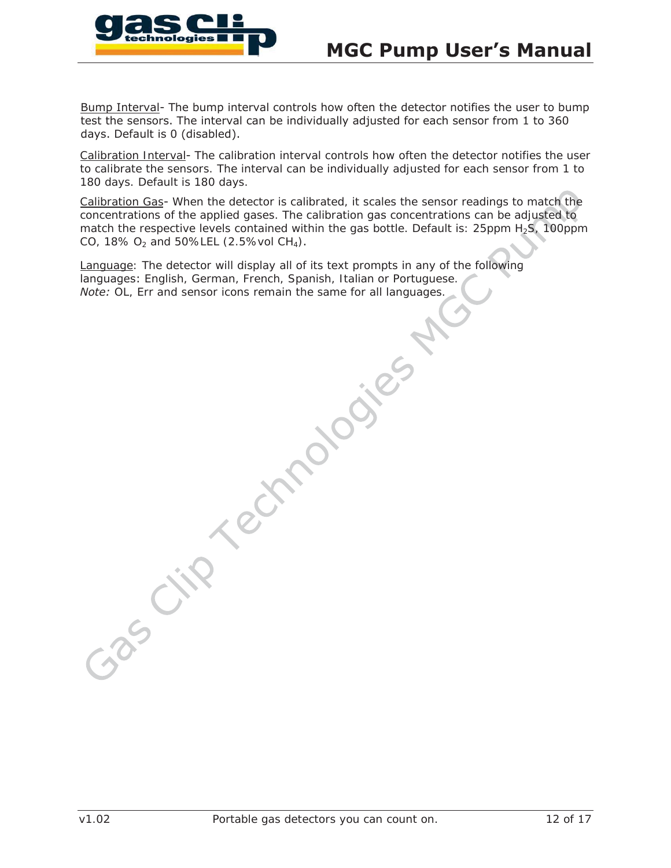

Bump Interval- The bump interval controls how often the detector notifies the user to bump test the sensors. The interval can be individually adjusted for each sensor from 1 to 360 days. Default is 0 (disabled).

Calibration Interval- The calibration interval controls how often the detector notifies the user to calibrate the sensors. The interval can be individually adjusted for each sensor from 1 to 180 days. Default is 180 days.

Calibration Gas- When the detector is calibrated, it scales the sensor readings to match the concentrations of the applied gases. The calibration gas concentrations can be adjusted to match the respective levels contained within the gas bottle. Default is:  $25ppm H<sub>2</sub>S$ , 100ppm CO, 18%  $O_2$  and 50%LEL (2.5%vol CH<sub>4</sub>).

Language: The detector will display all of its text prompts in any of the following languages: English, German, French, Spanish, Italian or Portuguese. *Note:* OL, Err and sensor icons remain the same for all languages.

Technologies

Gasci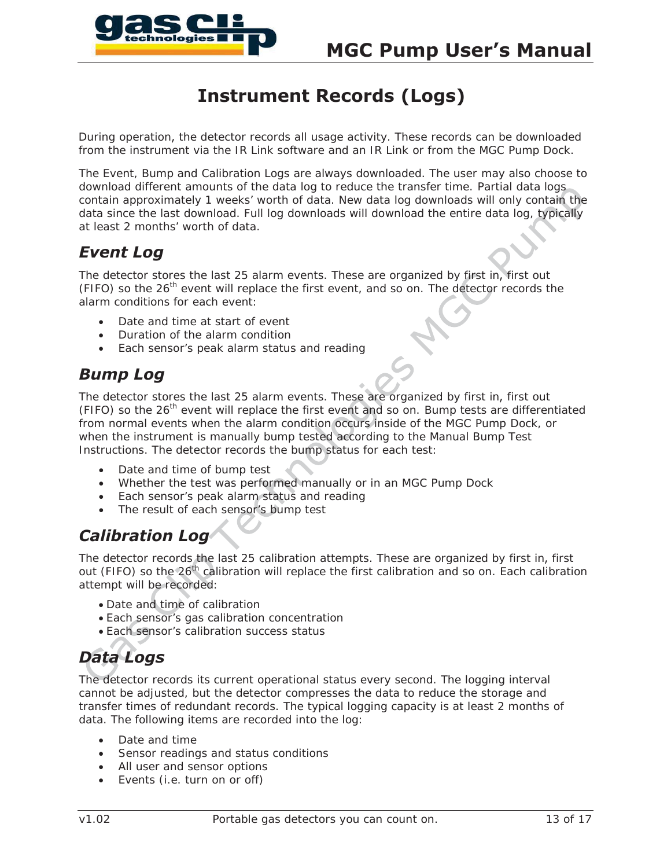

# **Instrument Records (Logs)**

During operation, the detector records all usage activity. These records can be downloaded from the instrument via the IR Link software and an IR Link or from the MGC Pump Dock.

The Event, Bump and Calibration Logs are always downloaded. The user may also choose to download different amounts of the data log to reduce the transfer time. Partial data logs contain approximately 1 weeks' worth of data. New data log downloads will only contain the data since the last download. Full log downloads will download the entire data log, typically at least 2 months' worth of data.

## *Event Log*

The detector stores the last 25 alarm events. These are organized by first in, first out (FIFO) so the  $26<sup>th</sup>$  event will replace the first event, and so on. The detector records the alarm conditions for each event:

- Date and time at start of event
- Duration of the alarm condition
- Each sensor's peak alarm status and reading

## *Bump Log*

The detector stores the last 25 alarm events. These are organized by first in, first out (FIFO) so the 26<sup>th</sup> event will replace the first event and so on. Bump tests are differentiated from normal events when the alarm condition occurs inside of the MGC Pump Dock, or when the instrument is manually bump tested according to the Manual Bump Test Instructions. The detector records the bump status for each test:

- Date and time of bump test
- Whether the test was performed manually or in an MGC Pump Dock
- Each sensor's peak alarm status and reading
- The result of each sensor's bump test

# *Calibration Log*

The detector records the last 25 calibration attempts. These are organized by first in, first out (FIFO) so the 26<sup>th</sup> calibration will replace the first calibration and so on. Each calibration attempt will be recorded:

- Date and time of calibration
- Each sensor's gas calibration concentration
- **Each sensor's calibration success status**

# *Data Logs*

The detector records its current operational status every second. The logging interval cannot be adjusted, but the detector compresses the data to reduce the storage and transfer times of redundant records. The typical logging capacity is at least 2 months of data. The following items are recorded into the log:

- Date and time
- Sensor readings and status conditions
- All user and sensor options
- Events (i.e. turn on or off)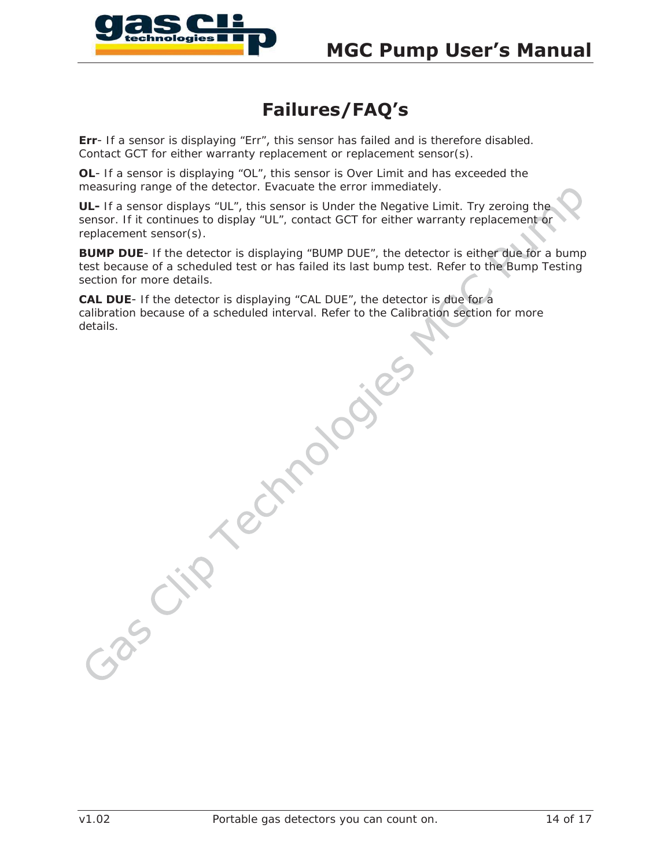

# **Failures/FAQ's**

**Err**- If a sensor is displaying "Err", this sensor has failed and is therefore disabled. Contact GCT for either warranty replacement or replacement sensor(s).

**OL-** If a sensor is displaying "OL", this sensor is Over Limit and has exceeded the measuring range of the detector. Evacuate the error immediately.

**UL-** If a sensor displays "UL", this sensor is Under the Negative Limit. Try zeroing the sensor. If it continues to display "UL", contact GCT for either warranty replacement or replacement sensor(s).

**BUMP DUE-** If the detector is displaying "BUMP DUE", the detector is either due for a bump test because of a scheduled test or has failed its last bump test. Refer to the Bump Testing section for more details.

**CAL DUE**- If the detector is displaying "CAL DUE", the detector is due for a calibration because of a scheduled interval. Refer to the Calibration section for more details.Technologies

Czas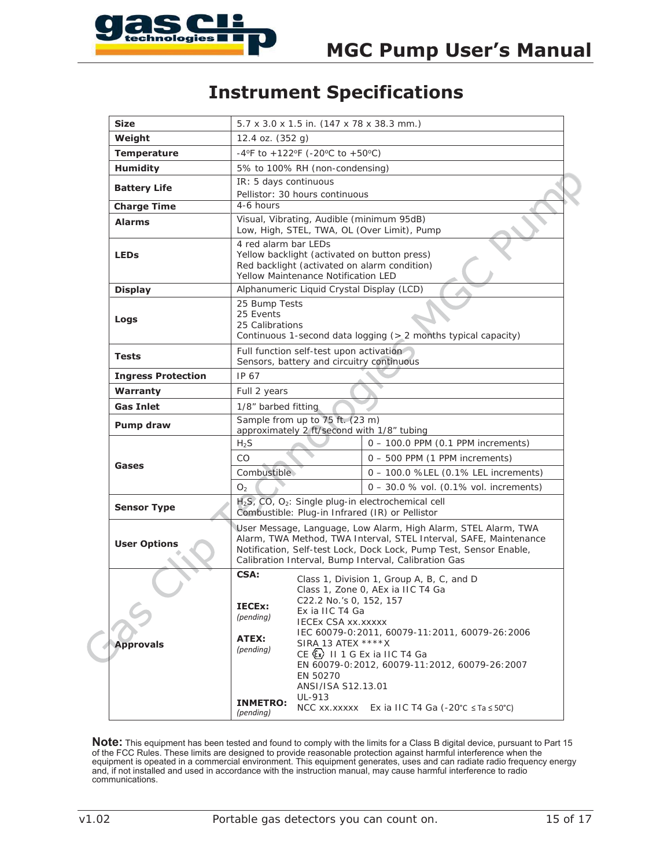

# **Instrument Specifications**

| <b>Size</b>               | 5.7 x 3.0 x 1.5 in. (147 x 78 x 38.3 mm.)                                                                                                                                                                                                                         |                                                                                                                                                                                                                                                                                               |  |
|---------------------------|-------------------------------------------------------------------------------------------------------------------------------------------------------------------------------------------------------------------------------------------------------------------|-----------------------------------------------------------------------------------------------------------------------------------------------------------------------------------------------------------------------------------------------------------------------------------------------|--|
| Weight                    | 12.4 oz. (352 g)                                                                                                                                                                                                                                                  |                                                                                                                                                                                                                                                                                               |  |
| <b>Temperature</b>        | -4°F to +122°F (-20°C to +50°C)                                                                                                                                                                                                                                   |                                                                                                                                                                                                                                                                                               |  |
| <b>Humidity</b>           | 5% to 100% RH (non-condensing)                                                                                                                                                                                                                                    |                                                                                                                                                                                                                                                                                               |  |
| <b>Battery Life</b>       | IR: 5 days continuous<br>Pellistor: 30 hours continuous                                                                                                                                                                                                           |                                                                                                                                                                                                                                                                                               |  |
| <b>Charge Time</b>        | 4-6 hours                                                                                                                                                                                                                                                         |                                                                                                                                                                                                                                                                                               |  |
| <b>Alarms</b>             | Visual, Vibrating, Audible (minimum 95dB)<br>Low, High, STEL, TWA, OL (Over Limit), Pump                                                                                                                                                                          |                                                                                                                                                                                                                                                                                               |  |
| <b>LEDs</b>               | 4 red alarm bar LEDs<br>Yellow backlight (activated on button press)<br>Red backlight (activated on alarm condition)<br>Yellow Maintenance Notification LED                                                                                                       |                                                                                                                                                                                                                                                                                               |  |
| <b>Display</b>            | Alphanumeric Liquid Crystal Display (LCD)                                                                                                                                                                                                                         |                                                                                                                                                                                                                                                                                               |  |
| Logs                      | 25 Bump Tests<br>25 Events<br>25 Calibrations<br>Continuous 1-second data logging (> 2 months typical capacity)                                                                                                                                                   |                                                                                                                                                                                                                                                                                               |  |
| <b>Tests</b>              | Full function self-test upon activation<br>Sensors, battery and circuitry continuous                                                                                                                                                                              |                                                                                                                                                                                                                                                                                               |  |
| <b>Ingress Protection</b> | IP 67                                                                                                                                                                                                                                                             |                                                                                                                                                                                                                                                                                               |  |
| <b>Warranty</b>           | Full 2 years                                                                                                                                                                                                                                                      |                                                                                                                                                                                                                                                                                               |  |
| <b>Gas Inlet</b>          | 1/8" barbed fitting                                                                                                                                                                                                                                               |                                                                                                                                                                                                                                                                                               |  |
| Pump draw                 | Sample from up to 75 ft. (23 m)<br>approximately 2 ft/second with 1/8" tubing                                                                                                                                                                                     |                                                                                                                                                                                                                                                                                               |  |
|                           | $H_2S$                                                                                                                                                                                                                                                            | $0 - 100.0$ PPM $(0.1$ PPM increments)                                                                                                                                                                                                                                                        |  |
|                           | CO                                                                                                                                                                                                                                                                | $0 - 500$ PPM $(1)$ PPM increments)                                                                                                                                                                                                                                                           |  |
| Gases                     | Combustible                                                                                                                                                                                                                                                       | 0 - 100.0 %LEL (0.1% LEL increments)                                                                                                                                                                                                                                                          |  |
|                           | O <sub>2</sub>                                                                                                                                                                                                                                                    | $0 - 30.0$ % vol. (0.1% vol. increments)                                                                                                                                                                                                                                                      |  |
| <b>Sensor Type</b>        | H <sub>2</sub> S, CO, O <sub>2</sub> : Single plug-in electrochemical cell<br>Combustible: Plug-in Infrared (IR) or Pellistor                                                                                                                                     |                                                                                                                                                                                                                                                                                               |  |
| <b>User Options</b>       | User Message, Language, Low Alarm, High Alarm, STEL Alarm, TWA<br>Alarm, TWA Method, TWA Interval, STEL Interval, SAFE, Maintenance<br>Notification, Self-test Lock, Dock Lock, Pump Test, Sensor Enable,<br>Calibration Interval, Bump Interval, Calibration Gas |                                                                                                                                                                                                                                                                                               |  |
| <b>Approvals</b>          | CSA:<br>C22.2 No.'s 0, 152, 157<br>IECEx:<br>Ex ia IIC T4 Ga<br>(pending)<br><b>IECEX CSA XX.XXXXX</b><br>ATEX:<br>SIRA 13 ATEX ****X<br>(pending)<br>EN 50270<br>ANSI/ISA S12.13.01<br>UL-913<br><b>INMETRO:</b><br>NCC xx.xxxxx                                 | Class 1, Division 1, Group A, B, C, and D<br>Class 1, Zone 0, AEx ia IIC T4 Ga<br>IEC 60079-0:2011, 60079-11:2011, 60079-26:2006<br>$CE$ $(x)$ II 1 G Ex ia IIC T4 Ga<br>EN 60079-0:2012, 60079-11:2012, 60079-26:2007<br>Ex ia IIC T4 Ga (-20 $^{\circ}$ C $\leq$ Ta $\leq$ 50 $^{\circ}$ C) |  |

Note: This equipment has been tested and found to comply with the limits for a Class B digital device, pursuant to Part 15 of the FCC Rules. These limits are designed to provide reasonable protection against harmful interference when the equipment is opeated in a commercial environment. This equipment generates, uses and can radiate radio frequency energy and, if not installed and used in accordance with the instruction manual, may cause harmful interference to radio communications.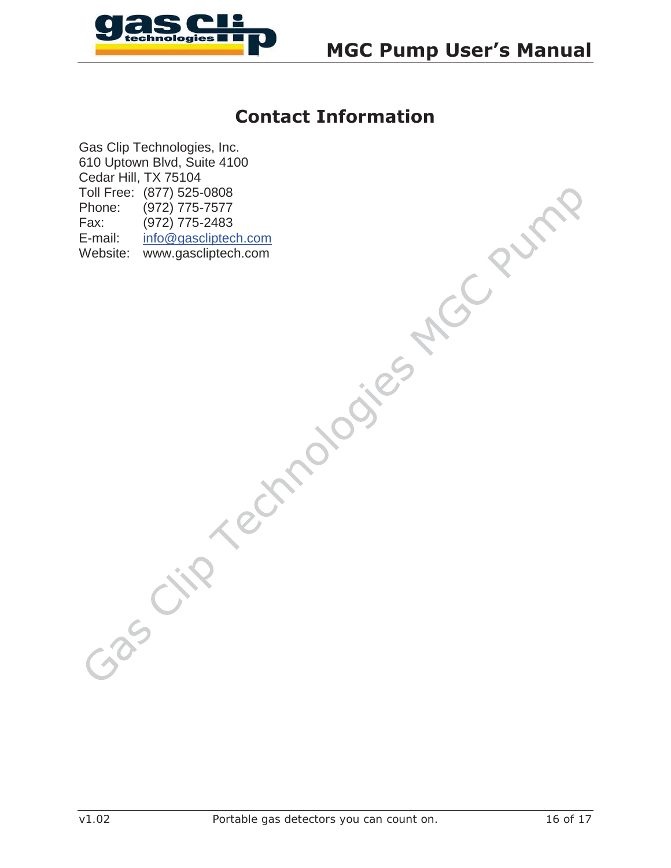

# **Contact Information**

Gas Clip Technologies, Inc. 610 Uptown Blvd, Suite 4100 Cedar Hill, TX 75104 Toll Free: (877) 525-0808 Phone: (972) 775-7577 Fax: (972) 775-2483 E-mail: info@gascliptech.com Website: www.gascliptech.com

Gascip